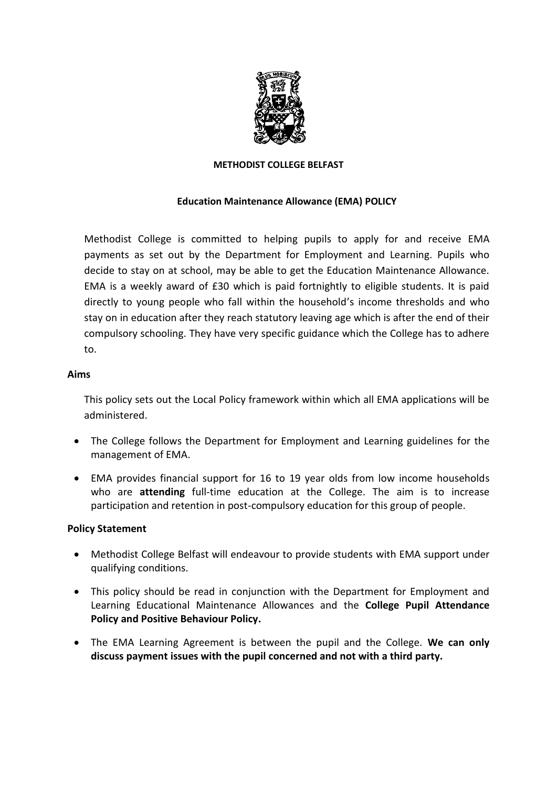

#### **METHODIST COLLEGE BELFAST**

#### **Education Maintenance Allowance (EMA) POLICY**

Methodist College is committed to helping pupils to apply for and receive EMA payments as set out by the Department for Employment and Learning. Pupils who decide to stay on at school, may be able to get the Education Maintenance Allowance. EMA is a weekly award of £30 which is paid fortnightly to eligible students. It is paid directly to young people who fall within the household's income thresholds and who stay on in education after they reach statutory leaving age which is after the end of their compulsory schooling. They have very specific guidance which the College has to adhere to.

#### **Aims**

This policy sets out the Local Policy framework within which all EMA applications will be administered.

- The College follows the Department for Employment and Learning guidelines for the management of EMA.
- EMA provides financial support for 16 to 19 year olds from low income households who are **attending** full-time education at the College. The aim is to increase participation and retention in post-compulsory education for this group of people.

#### **Policy Statement**

- Methodist College Belfast will endeavour to provide students with EMA support under qualifying conditions.
- This policy should be read in conjunction with the Department for Employment and Learning Educational Maintenance Allowances and the **College Pupil Attendance Policy and Positive Behaviour Policy.**
- The EMA Learning Agreement is between the pupil and the College. **We can only discuss payment issues with the pupil concerned and not with a third party.**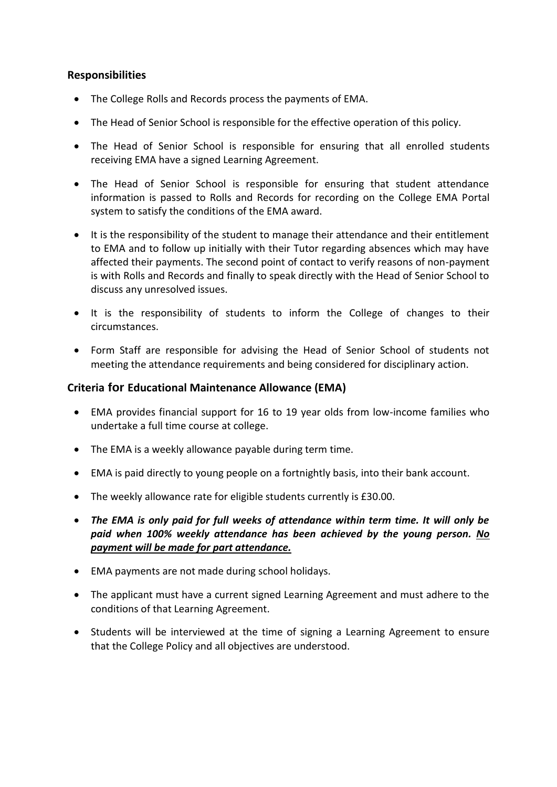## **Responsibilities**

- The College Rolls and Records process the payments of EMA.
- The Head of Senior School is responsible for the effective operation of this policy.
- The Head of Senior School is responsible for ensuring that all enrolled students receiving EMA have a signed Learning Agreement.
- The Head of Senior School is responsible for ensuring that student attendance information is passed to Rolls and Records for recording on the College EMA Portal system to satisfy the conditions of the EMA award.
- It is the responsibility of the student to manage their attendance and their entitlement to EMA and to follow up initially with their Tutor regarding absences which may have affected their payments. The second point of contact to verify reasons of non-payment is with Rolls and Records and finally to speak directly with the Head of Senior School to discuss any unresolved issues.
- It is the responsibility of students to inform the College of changes to their circumstances.
- Form Staff are responsible for advising the Head of Senior School of students not meeting the attendance requirements and being considered for disciplinary action.

## **Criteria for Educational Maintenance Allowance (EMA)**

- EMA provides financial support for 16 to 19 year olds from low-income families who undertake a full time course at college.
- The EMA is a weekly allowance payable during term time.
- EMA is paid directly to young people on a fortnightly basis, into their bank account.
- The weekly allowance rate for eligible students currently is £30.00.
- *The EMA is only paid for full weeks of attendance within term time. It will only be paid when 100% weekly attendance has been achieved by the young person. No payment will be made for part attendance.*
- EMA payments are not made during school holidays.
- The applicant must have a current signed Learning Agreement and must adhere to the conditions of that Learning Agreement.
- Students will be interviewed at the time of signing a Learning Agreement to ensure that the College Policy and all objectives are understood.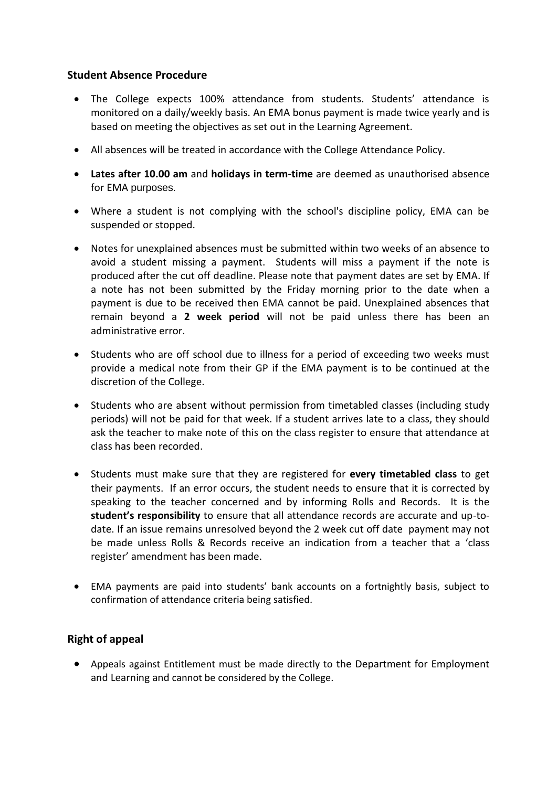## **Student Absence Procedure**

- The College expects 100% attendance from students. Students' attendance is monitored on a daily/weekly basis. An EMA bonus payment is made twice yearly and is based on meeting the objectives as set out in the Learning Agreement.
- All absences will be treated in accordance with the College Attendance Policy.
- **Lates after 10.00 am** and **holidays in term-time** are deemed as unauthorised absence for EMA purposes.
- Where a student is not complying with the school's discipline policy, EMA can be suspended or stopped.
- Notes for unexplained absences must be submitted within two weeks of an absence to avoid a student missing a payment. Students will miss a payment if the note is produced after the cut off deadline. Please note that payment dates are set by EMA. If a note has not been submitted by the Friday morning prior to the date when a payment is due to be received then EMA cannot be paid. Unexplained absences that remain beyond a **2 week period** will not be paid unless there has been an administrative error.
- Students who are off school due to illness for a period of exceeding two weeks must provide a medical note from their GP if the EMA payment is to be continued at the discretion of the College.
- Students who are absent without permission from timetabled classes (including study periods) will not be paid for that week. If a student arrives late to a class, they should ask the teacher to make note of this on the class register to ensure that attendance at class has been recorded.
- Students must make sure that they are registered for **every timetabled class** to get their payments. If an error occurs, the student needs to ensure that it is corrected by speaking to the teacher concerned and by informing Rolls and Records. It is the **student's responsibility** to ensure that all attendance records are accurate and up-todate. If an issue remains unresolved beyond the 2 week cut off date payment may not be made unless Rolls & Records receive an indication from a teacher that a 'class register' amendment has been made.
- EMA payments are paid into students' bank accounts on a fortnightly basis, subject to confirmation of attendance criteria being satisfied.

## **Right of appeal**

 Appeals against Entitlement must be made directly to the Department for Employment and Learning and cannot be considered by the College.